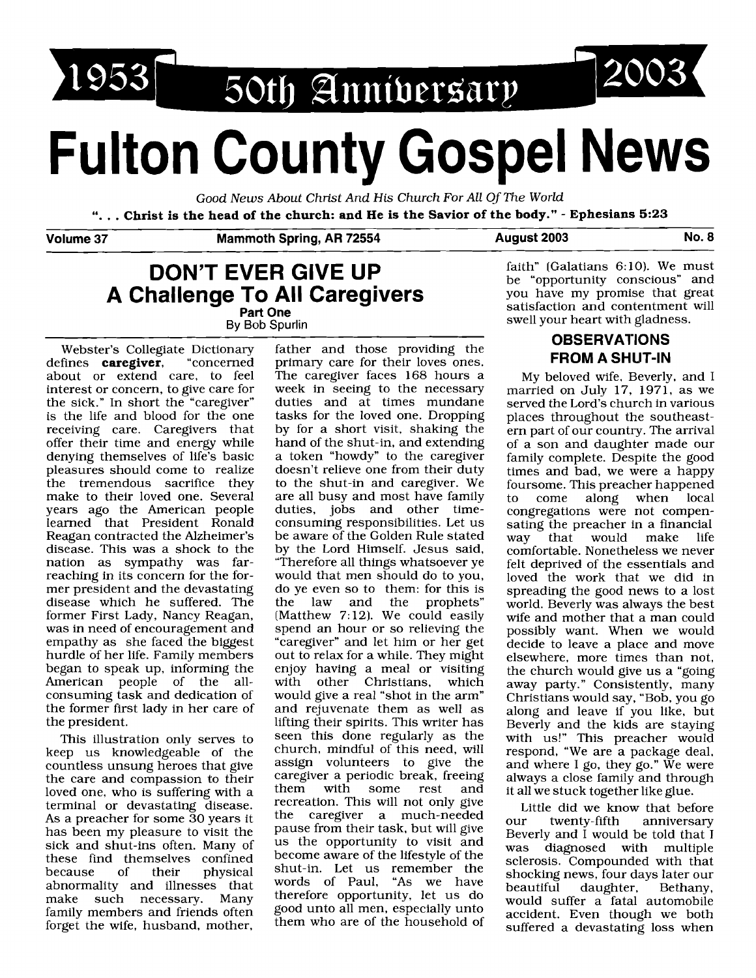

# **Fulton County Gospel News**

Good News About Christ And His Church For All Of The World

". . . **Christ is the head of the church: and He is the Savior of the body."** - **Ephesians 5:23** 

**Volume 37 Mammoth Spring, AR 72554 August 2003 No. 8** 

## **DON'T EVER GIVE UP A Challenge To All Caregivers**

**Part One**  By Bob Spurlin

Webster's Collegiate Dictionary father and those providing the defines **caregiver**, "concerned primary care for their loves ones. defines **caregiver,** "concerned primary care for their loves ones.<br>about or extend care, to feel The caregiver faces 168 hours a interest or concern, to give care for week in seeing to the necessary<br>the sick." In short the "caregiver" duties and at times mundane the sick." In short the "caregiver" is the life and blood for the one receiving care. Caregivers that offer their time and energy while denying themselves of life's basic a token "howdy" to the caregiver<br>pleasures should come to realize doesn't relieve one from their duty pleasures should come to realize<br>the tremendous sacrifice they make to their loved one. Several are all busy and most have family years ago the American people duties, jobs and other timeyears ago the American people<br>learned that President Ronald learned that President Ronald consuming responsibilities. Let us<br>Reagan contracted the Alzheimer's be aware of the Golden Rule stated Reagan contracted the Alzheimer's be aware of the Golden Rule stated disease. This was a shock to the by the Lord Himself. Jesus said, disease. This was a shock to the by the Lord Himself. Jesus said, nation as sympathy was far- "Therefore all things whatsoever ye nation as sympathy was far- "Therefore all things whatsoever ye reaching in its concern for the for- would that men should do to you, reaching in its concern for the for-<br>mer president and the devastating do ve even so to them: for this is disease which he suffered. The former First Lady, Nancy Reagan, former First Lady, Nancy Reagan, (Matthew 7:12). We could easily was in need of encouragement and spend an hour or so relieving the was in need of encouragement and spend an hour or so relieving the empathy as she faced the biggest "caregiver" and let him or her get empathy as she faced the biggest "caregiver" and let him or her get<br>hurdle of her life. Family members out to relax for a while. They might hurdle of her life. Family members out to relax for a while. They might began to speak up, informing the enjoy having a meal or visiting American people of the all-<br>consuming task and dedication of consuming task and dedication of would give a real "shot in the arm"<br>the former first lady in her care of and rejuvenate them as well as the former first lady in her care of and rejuvenate them as well as the president.<br>It is uniting their spirits. This writer has

This illustration only serves to<br>keep us knowledgeable of the countless unsung heroes that give assign volunteers to give the care and compassion to their caregiver a periodic break, freeing the care and compassion to their caregiver a periodic break, freeing<br>loved one who is suffering with a them with some rest and loved one, who is suffering with a them with some rest and<br>terminal or devastating disease recreation. This will not only give terminal or devastating disease. recreation. This will not only give<br>As a preacher for some 30 years it the caregiver a much-needed As a preacher for some  $\overline{30}$  years it the caregiver a much-needed<br>has been my pleasure to visit the pause from their task, but will give has been my pleasure to visit the sick and shut-ins often. Many of us the opportunity to visit and these find themselves confined become aware of the lifestyle of the because of their physical shut-in. Let us remember the abnormality and illnesses that words of Paul, "As we have<br>make such necessary. Many therefore opportunity, let us do family members and friends often good unto all men, especially unto<br>forget the wife husband mother them who are of the household of forget the wife, husband, mother,

The caregiver faces 168 hours a<br>week in seeing to the necessary tasks for the loved one. Dropping<br>by for a short visit, shaking the hand of the shut-in, and extending to the shut-in and caregiver. We<br>are all busy and most have family do ye even so to them: for this is<br>the law and the prophets" enjoy having a meal or visiting<br>with other Christians, which lifting their spirits. This writer has<br>seen this done regularly as the church, mindful of this need, will therefore opportunity, let us do

faith" (Galatians  $6:10$ ). We must be "opportunity conscious" and you have my promise that great satisfaction and contentment will swell your heart with gladness.

### **OBSERVATIONS FROM A SHUT-IN**

My beloved wife, Beverly, and I married on July 17, 1971, as we served the Lord's church in various places throughout the southeastern part of our country. The arrival of a son and daughter made our family complete. Despite the good times and bad, we were a happy foursome. This preacher happened<br>to come along when local along congregations were not compensating the preacher in a financial<br>way that would make life would comfortable. Nonetheless we never felt deprived of the essentials and loved the work that we did in spreading the good news to a lost world. Beverly was always the best wife and mother that a man could possibly want. When we would decide to leave a place and move elsewhere, more times than not, the church would give us a "going away party." Consistently, many Christians would say, "Bob, you go along and leave if you like, but Beverly and the kids are staying with us!" This preacher would respond, "We are a package deal, and where I go, they go." We were always a close family and through it all we stuck together like glue.

Little did we know that before our twenty-fifth anniversary Beverly and I would be told that I was diagnosed with multiple sclerosis. Compounded with that shocking news, four days later our<br>beautiful daughter, Bethany, daughter, would suffer a fatal automobile accident. Even though we both suffered a devastating loss when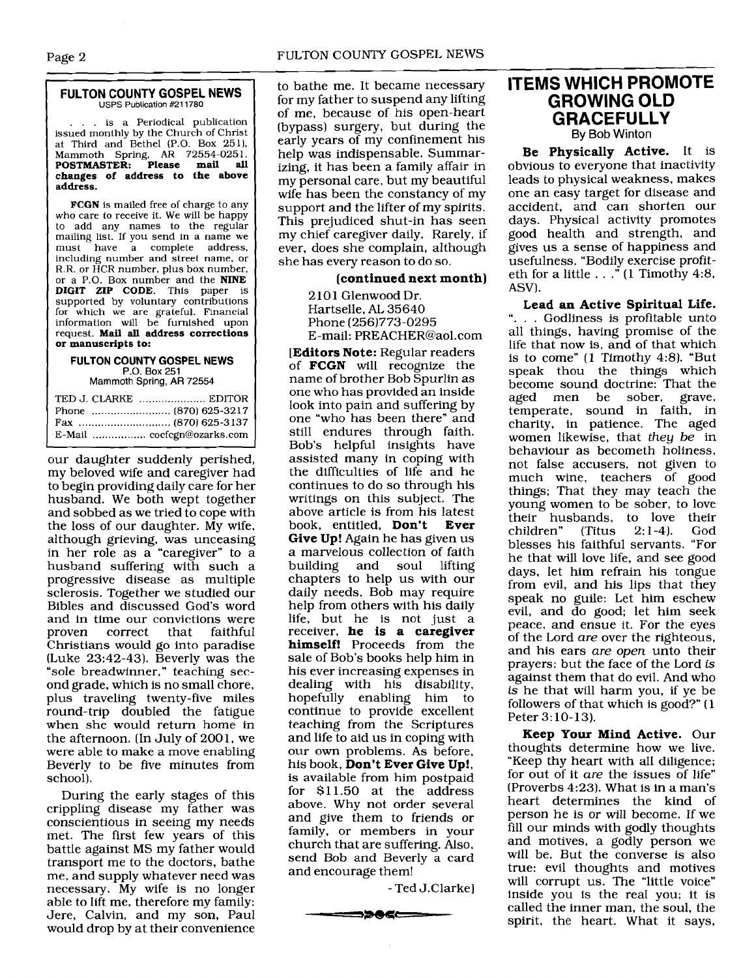# Page 2<br>
FULTON COUNTY GOSPEL NEWS USPS Publication **#211780**

... is a Periodical publication issued monthly by the Church of Christ at Third and Bethel (P.O. Box 251), Mammoth Spring. **AR** 72554-025 1. **POSTMASTER: Please mail all**  POSTMASTER: Please mail all changes of address to the above **address.** 

**FCGN** is mailed free of charge to any who care to receive it. We will be happy to add any names to the regular mailing list. If you send in a name we must have a complete address, including number and street name, or R.R. or HCR number, plus box number, or a P.O. Box number and the **NINE DIGIT ZIP CODE.** This paper is supported by voluntary contributions for which we are grateful. Financial information will be furnished upon request. **Mail all address corrections or manuscripts to:** 

#### **FULTON COUNTY GOSPEL NEWS P.O. Box** 251 Mammoth Spring, AR 72554

TED J. CLARKE ..................... EDITOR

our daughter suddenly perished, my beloved wife and caregiver had to begin providing daily care for her husband. We both wept together and sobbed as we tried to cope with the loss of our daughter. My wife, although grieving, was unceasing in her role as a "caregiver" to a husband suffering with such a progressive disease as multiple sclerosis. Together we studied our Bibles and discussed God's word and in time our convictions were<br>proven correct that faithful correct Christians would go into paradise (Luke 23:42-43). Beverly was the "sole breadwinner," teaching second grade, which is no small chore, plus traveling twenty-five miles round-trip doubled the fatigue when she would return home in the afternoon. (In July of 2001, we were able to make a move enabling Beverly to be five minutes from school).

During the early stages of this crippling disease my father was conscientious in seeing my needs met. The first few years of this battle against MS my father would transport me to the doctors, bathe me, and supply whatever need was necessary. My wife is no longer able to lift me, therefore my family: Jere, Calvin, and my son, Paul would drop by at their convenience to bathe me. It became necessary for my father to suspend any lifting of me, because of his open-heart (bypass) surgery, but during the early years of my confinement his help was indispensable. Summarizing, it has been a family affair in my personal care, but my beautiful wife has been the constancy of my support and the lifter of my spirits. This prejudiced shut-in has seen my chief caregiver daily. Rarely, if ever, does she complain, although she has every reason to do so.

#### **[continued next month)**

2101 Glenwood Dr. Hartselle, AL 35640 Phone (256)773-0295 E-mail: PREACHER@aol.com

**[Editors Note:** Regular readers of **FCGN** will recognize the name of brother Bob Spurlin as one who has provided an inside look into pain and suffering by one "who has been there" and still endures through faith. Bob's helpful insights have assisted many in coping with the difficulties of life and he continues to do so through his writings on this subject. The above article is from his latest<br>book, entitled. **Don't** Ever book, entitled, **Don't Give Up!** Again he has given us a marvelous collection of faith<br>building and soul lifting and soul chapters to help us with our daily needs. Bob may require help from others with his daily life, but he is not just a receiver, **he is a caregiver himself!** Proceeds from the sale of Bob's books help him in his ever increasing expenses in dealing with his disability, hopefully enabling him to continue to provide excellent teaching from the Scriptures and life to aid us in coping with our own problems. As before, his book, **Don't Ever Give Up!,**  is available from him postpaid for \$11.50 at the address above. Why not order several and give them to friends or family, or members in your church that are suffering. Also, send Bob and Beverly a card and encourage them!

- Ted J.Clarke]

うつめにこ

### **ITEMS WHICH PROMOTE GROWING OLD GRACEFULLY**  By Bob Winton

**Be Physically Active.** It is obvious to everyone that inactivity leads to physical weakness, makes one an easy target for disease and accident, and can shorten our days. Physical activity promotes good health and strength, and gives us a sense of happiness and usefulness. "Bodily exercise profiteth for a little  $\ldots$  " (1 Timothy 4:8, ASV).

**Lead an Active Spiritual Life.**  "... Godliness is profitable unto all things, having promise of the life that now is, and of that which is to come" **(1** Timothy 4:8). "But speak thou the things which become sound doctrine: That the aged men be sober, grave, temperate, sound in faith, in charity, in patience. The aged women likewise, that they be in behaviour as becometh holiness, not false accusers, not given to much wine, teachers of good things; That they may teach the young women to be sober, to love their husbands, to love their<br>children" (Titus 2:1-4). God children" blesses his faithful servants. "For he that will love life, and see good days, let him refrain his tongue from evil, and his lips that they speak no guile: Let him eschew evil, and do good; let him seek peace, and ensue it. For the eyes of the Lord are over the righteous, and his ears are open unto their prayers: but the face of the Lord is against them that do evil. And who is he that will harm you, if ye be followers of that which is good?" (1 Peter 3: 10-13).

**Keep Your Mind Active.** Our thoughts determine how we live. "Keep thy heart with all diligence; for out of it are the issues of life" (Proverbs 4:23). What is in a man's heart determines the kind of person he is or will become. If we fill our minds with godly thoughts and motives, a godly person we will be. But the converse is also true: evil thoughts and motives will corrupt us. The "little voice" inside you is the real you; it is called the inner man, the soul, the spirit, the heart. What it says,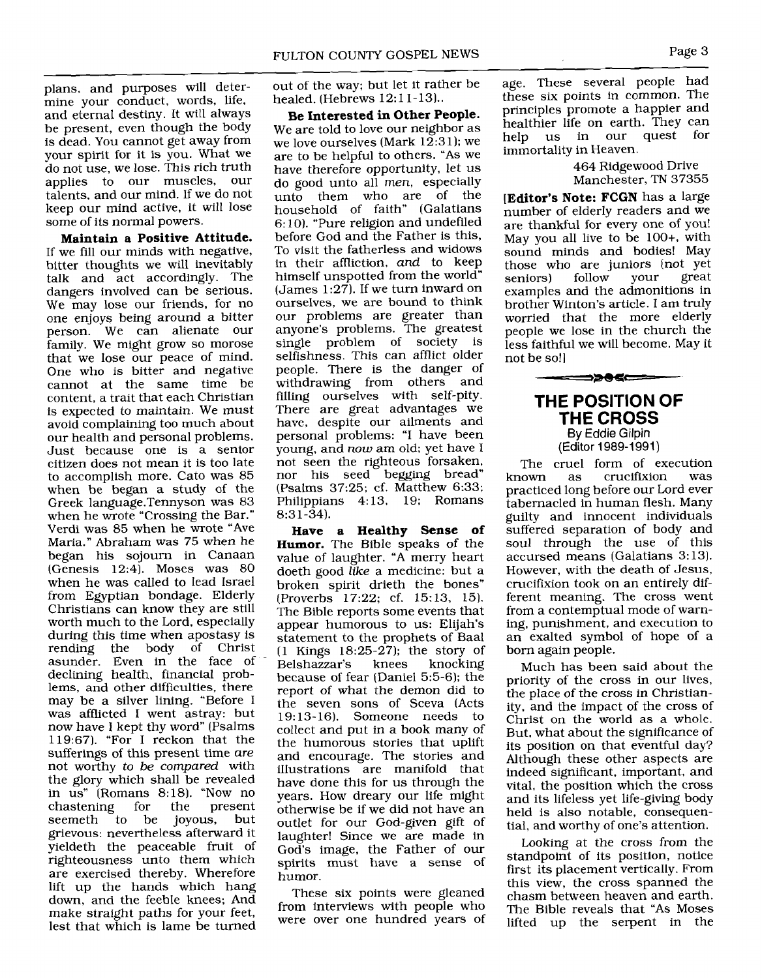plans, and purposes will determine your conduct, words, life, and eternal destiny. It will always be present, even though the body is dead. You cannot get away from your spirit for it is you. What we do not use, we lose. This rich truth applies to our muscles, our talents, and our mind. If we do not keep our mind active, it will lose some of its normal powers.

**Maintain a Positive Attitude.**  If we fill our minds with negative, bitter thoughts we will inevitably talk and act accordingly. The dangers involved can be serious. We may lose our friends, for no one enjoys being around a bitter person. We can alienate our family. We might grow so morose that we lose our peace of mind. One who is bitter and negative cannot at the same time be content, a trait that each Christian is expected to maintain. We must avoid complaining too much about our health and personal problems. Just because one is a senior citizen does not mean it is too late to accomplish more. Cato was 85 when be began a study of the Greek 1anguage.Tennyson was 83 when he wrote "Crossing the Bar." Verdi was 85 when he wrote "Ave Maria." Abraham was 75 when he began his sojourn in Canaan (Genesis 12:4). Moses was 80 when he was called to lead Israel from Egyptian bondage. Elderly Christians can know they are still worth much to the Lord, especially during this time when apostasy is rending the body of Christ asunder. Even in the face of declining health, financial problems, and other difficulties, there may be a silver lining. "Before I was afflicted I went astray: but now have I kept thy word" (Psalms 119:67). "For I reckon that the sufferings of this present time *are*  not worthy *to be compared* with the glory which shall be revealed in us" (Romans 8:18). "Now no chastening for the present<br>seemeth to be joyous, but joyous, grievous: nevertheless afterward it yieldeth the peaceable fruit of righteousness unto them which are exercised thereby. Wherefore lift up the hands which hang down, and the feeble knees; And make straight paths for your feet, lest that which is lame be turned

out of the way; but let it rather be healed. (Hebrews 12:11-13)..

**Be Interested in Other People.**  We are told to love our neighbor as we love ourselves (Mark  $12:31$ ); we are to be helpful to others. "As we have therefore opportunity, let us do good unto all *men,* especially unto them who are of the household of faith" (Galatians 6: 10). "Pure religion and undefiled before God and the Father is this, To visit the fatherless and widows in their affliction, *and* to keep himself unspotted from the world" (James  $1:27$ ). If we turn inward on ourselves, we are bound to think our problems are greater than anyone's problems. The greatest single problem of society is selfishness. This can afflict older people. There is the danger of withdrawing from others and filling ourselves with self-pity. There are great advantages we have, despite our ailments and personal problems: "I have been young, and *now* am old; yet have I not seen the righteous forsaken, nor his seed begging bread" (Psalms 37:25; cf. Matthew 6:33; Philippians 4: 13, 19; Romans 8:31-34).

**Have a Healthy Sense of Humor.** The Bible speaks of the value of laughter. "A merry heart doeth good **like** a medicine: but a broken spirit drieth the bones" (Proverbs 17:22; cf. 15:13, 15). The Bible reports some events that appear humorous to us: Elijah's statement to the prophets of Baal (1 Kings 18:25-27); the story of Belshazzar's because of fear (Daniel 5:5-6); the report of what the demon did to the seven sons of Sceva (Acts 19: 13-16). Someone needs to collect and put in a book many of the humorous stories that uplift and encourage. The stories and illustrations are manifold that have done this for us through the years. How dreary our life might otherwise be if we did not have an outlet for our God-given gift of laughter! Since we are made in God's image, the Father of our spirits must have a sense of humor.

These six points were gleaned from interviews with people who were over one hundred years of

age. These several people had these six points in common. The principles promote a happier and healthier life on earth. They can help us in our quest for immortality in Heaven.

#### 464 Ridgewood Drive Manchester, TN 37355

**[Editor's Note: FCGN** has a large number of elderly readers and we are thankful for every one of you! May you all live to be 100+, with sound minds and bodies! May those who are juniors (not yet<br>seniors) follow your great seniors) follow your great examples and the admonitions in brother Winton's article. I am truly worried that the more elderly people we lose in the church the less faithful we will become. May it not be so!]

#### **THE POSITION OF**  THE **CROSS**  By Eddie Gilpin

<del>゠゠゠</del>ゔ゚゚ゟ゚ヸ

(Editor 1989-1991)

The cruel form of execution<br>known as crucifixion was crucifixion practiced long before our Lord ever tabernacled in human flesh. Many guilty and innocent individuals suffered separation of body and soul through the use of this accursed means (Galatians 3:13). However, with the death of Jesus, crucifixion took on an entirely different meaning. The cross went from a contemptual mode of warning, punishment, and execution to an exalted symbol of hope of a born again people.

Much has been said about the priority of the cross in our lives, the place of the cross in Christianity, and the impact of the cross of Christ on the world as a whole. But, what about the significance of its position on that eventful day? Although these other aspects are indeed significant, important, and vital, the position which the cross and its lifeless yet life-giving body held is also notable, consequential, and worthy of one's attention.

Looking at the cross from the standpoint of its position, notice first its placement vertically. From this view, the cross spanned the chasm between heaven and earth. The Bible reveals that "As Moses lifted up the serpent in the